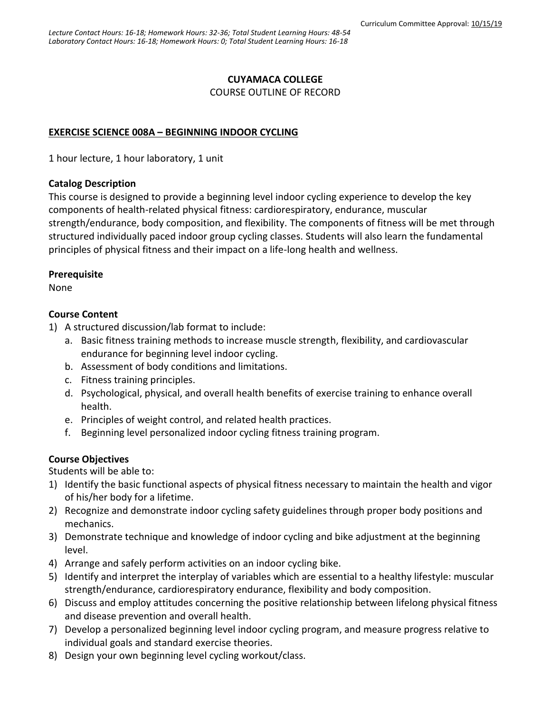#### **CUYAMACA COLLEGE** COURSE OUTLINE OF RECORD

### **EXERCISE SCIENCE 008A – BEGINNING INDOOR CYCLING**

1 hour lecture, 1 hour laboratory, 1 unit

### **Catalog Description**

This course is designed to provide a beginning level indoor cycling experience to develop the key components of health-related physical fitness: cardiorespiratory, endurance, muscular strength/endurance, body composition, and flexibility. The components of fitness will be met through structured individually paced indoor group cycling classes. Students will also learn the fundamental principles of physical fitness and their impact on a life-long health and wellness.

#### **Prerequisite**

None

### **Course Content**

- 1) A structured discussion/lab format to include:
	- a. Basic fitness training methods to increase muscle strength, flexibility, and cardiovascular endurance for beginning level indoor cycling.
	- b. Assessment of body conditions and limitations.
	- c. Fitness training principles.
	- d. Psychological, physical, and overall health benefits of exercise training to enhance overall health.
	- e. Principles of weight control, and related health practices.
	- f. Beginning level personalized indoor cycling fitness training program.

# **Course Objectives**

Students will be able to:

- 1) Identify the basic functional aspects of physical fitness necessary to maintain the health and vigor of his/her body for a lifetime.
- 2) Recognize and demonstrate indoor cycling safety guidelines through proper body positions and mechanics.
- 3) Demonstrate technique and knowledge of indoor cycling and bike adjustment at the beginning level.
- 4) Arrange and safely perform activities on an indoor cycling bike.
- 5) Identify and interpret the interplay of variables which are essential to a healthy lifestyle: muscular strength/endurance, cardiorespiratory endurance, flexibility and body composition.
- 6) Discuss and employ attitudes concerning the positive relationship between lifelong physical fitness and disease prevention and overall health.
- 7) Develop a personalized beginning level indoor cycling program, and measure progress relative to individual goals and standard exercise theories.
- 8) Design your own beginning level cycling workout/class.